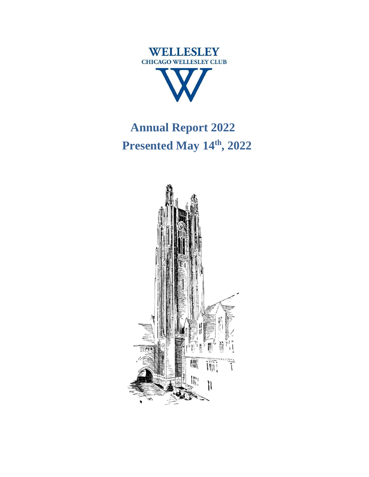

# **Annual Report 2022 Presented May 14th , 2022**

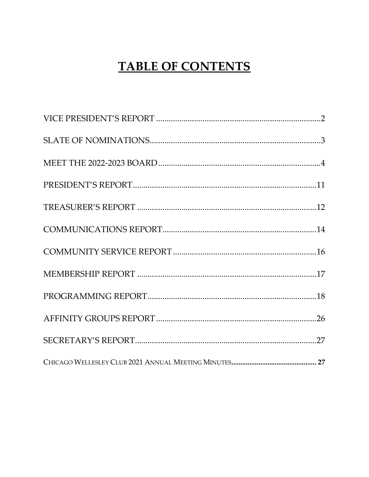# **TABLE OF CONTENTS**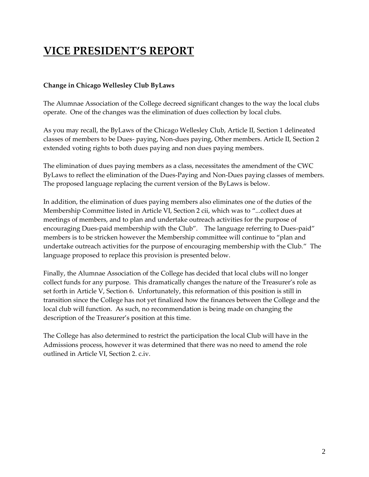# <span id="page-2-0"></span>**VICE PRESIDENT'S REPORT**

### **Change in Chicago Wellesley Club ByLaws**

The Alumnae Association of the College decreed significant changes to the way the local clubs operate. One of the changes was the elimination of dues collection by local clubs.

As you may recall, the ByLaws of the Chicago Wellesley Club, Article II, Section 1 delineated classes of members to be Dues- paying, Non-dues paying, Other members. Article II, Section 2 extended voting rights to both dues paying and non dues paying members.

The elimination of dues paying members as a class, necessitates the amendment of the CWC ByLaws to reflect the elimination of the Dues-Paying and Non-Dues paying classes of members. The proposed language replacing the current version of the ByLaws is below.

In addition, the elimination of dues paying members also eliminates one of the duties of the Membership Committee listed in Article VI, Section 2 cii, which was to "...collect dues at meetings of members, and to plan and undertake outreach activities for the purpose of encouraging Dues-paid membership with the Club". The language referring to Dues-paid" members is to be stricken however the Membership committee will continue to "plan and undertake outreach activities for the purpose of encouraging membership with the Club." The language proposed to replace this provision is presented below.

Finally, the Alumnae Association of the College has decided that local clubs will no longer collect funds for any purpose. This dramatically changes the nature of the Treasurer's role as set forth in Article V, Section 6. Unfortunately, this reformation of this position is still in transition since the College has not yet finalized how the finances between the College and the local club will function. As such, no recommendation is being made on changing the description of the Treasurer's position at this time.

The College has also determined to restrict the participation the local Club will have in the Admissions process, however it was determined that there was no need to amend the role outlined in Article VI, Section 2. c.iv.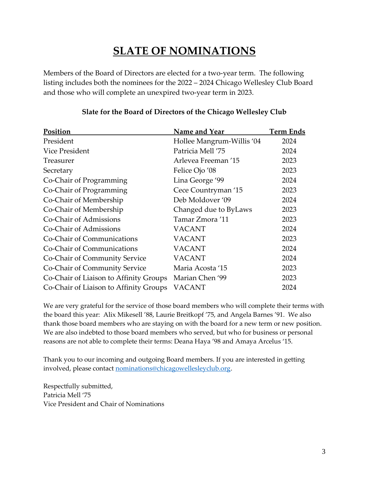# **SLATE OF NOMINATIONS**

<span id="page-3-0"></span>Members of the Board of Directors are elected for a two-year term. The following listing includes both the nominees for the 2022 – 2024 Chicago Wellesley Club Board and those who will complete an unexpired two-year term in 2023.

| Position                               | Name and Year             | Term Ends |
|----------------------------------------|---------------------------|-----------|
| President                              | Hollee Mangrum-Willis '04 | 2024      |
| Vice President                         | Patricia Mell '75         | 2024      |
| Treasurer                              | Arlevea Freeman '15       | 2023      |
| Secretary                              | Felice Ojo '08            | 2023      |
| Co-Chair of Programming                | Lina George '99           | 2024      |
| Co-Chair of Programming                | Cece Countryman '15       | 2023      |
| Co-Chair of Membership                 | Deb Moldover '09          | 2024      |
| Co-Chair of Membership                 | Changed due to ByLaws     | 2023      |
| Co-Chair of Admissions                 | Tamar Zmora '11           | 2023      |
| Co-Chair of Admissions                 | <b>VACANT</b>             | 2024      |
| Co-Chair of Communications             | <b>VACANT</b>             | 2023      |
| Co-Chair of Communications             | <b>VACANT</b>             | 2024      |
| Co-Chair of Community Service          | <b>VACANT</b>             | 2024      |
| Co-Chair of Community Service          | Maria Acosta '15          | 2023      |
| Co-Chair of Liaison to Affinity Groups | Marian Chen '99           | 2023      |
| Co-Chair of Liaison to Affinity Groups | <b>VACANT</b>             | 2024      |

### **Slate for the Board of Directors of the Chicago Wellesley Club**

We are very grateful for the service of those board members who will complete their terms with the board this year: Alix Mikesell '88, Laurie Breitkopf '75, and Angela Barnes '91. We also thank those board members who are staying on with the board for a new term or new position. We are also indebted to those board members who served, but who for business or personal reasons are not able to complete their terms: Deana Haya '98 and Amaya Arcelus '15.

Thank you to our incoming and outgoing Board members. If you are interested in getting involved, please contact [nominations@chicagowellesleyclub.org.](mailto:nominations@chicagowellesleyclub.org)

Respectfully submitted, Patricia Mell '75 Vice President and Chair of Nominations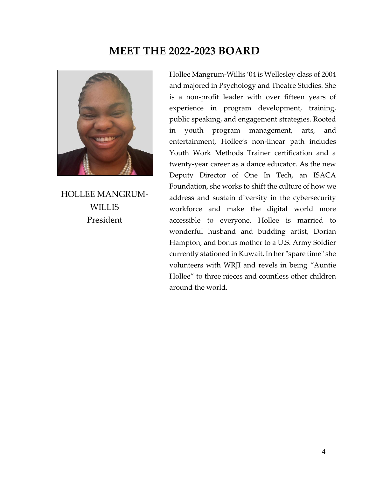### **MEET THE 2022-2023 BOARD**

<span id="page-4-0"></span>

HOLLEE MANGRUM-WILLIS President

Hollee Mangrum-Willis '04 is Wellesley class of 2004 and majored in Psychology and Theatre Studies. She is a non-profit leader with over fifteen years of experience in program development, training, public speaking, and engagement strategies. Rooted in youth program management, arts, and entertainment, Hollee's non-linear path includes Youth Work Methods Trainer certification and a twenty-year career as a dance educator. As the new Deputy Director of One In Tech, an ISACA Foundation, she works to shift the culture of how we address and sustain diversity in the cybersecurity workforce and make the digital world more accessible to everyone. Hollee is married to wonderful husband and budding artist, Dorian Hampton, and bonus mother to a U.S. Army Soldier currently stationed in Kuwait. In her "spare time" she volunteers with WRJI and revels in being "Auntie Hollee" to three nieces and countless other children around the world.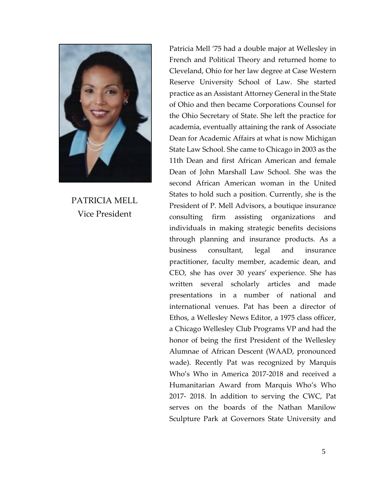

PATRICIA MELL Vice President

Patricia Mell '75 had a double major at Wellesley in French and Political Theory and returned home to Cleveland, Ohio for her law degree at Case Western Reserve University School of Law. She started practice as an Assistant Attorney General in the State of Ohio and then became Corporations Counsel for the Ohio Secretary of State. She left the practice for academia, eventually attaining the rank of Associate Dean for Academic Affairs at what is now Michigan State Law School. She came to Chicago in 2003 as the 11th Dean and first African American and female Dean of John Marshall Law School. She was the second African American woman in the United States to hold such a position. Currently, she is the President of P. Mell Advisors, a boutique insurance consulting firm assisting organizations and individuals in making strategic benefits decisions through planning and insurance products. As a business consultant, legal and insurance practitioner, faculty member, academic dean, and CEO, she has over 30 years' experience. She has written several scholarly articles and made presentations in a number of national and international venues. Pat has been a director of Ethos, a Wellesley News Editor, a 1975 class officer, a Chicago Wellesley Club Programs VP and had the honor of being the first President of the Wellesley Alumnae of African Descent (WAAD, pronounced wade). Recently Pat was recognized by Marquis Who's Who in America 2017-2018 and received a Humanitarian Award from Marquis Who's Who 2017- 2018. In addition to serving the CWC, Pat serves on the boards of the Nathan Manilow Sculpture Park at Governors State University and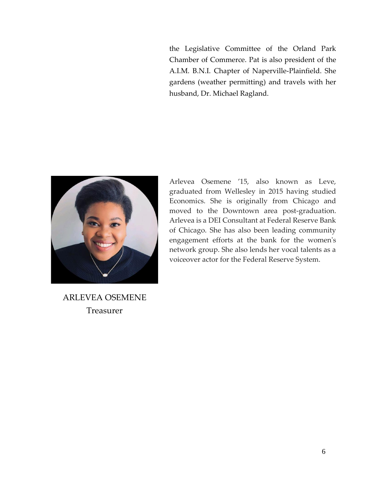the Legislative Committee of the Orland Park Chamber of Commerce. Pat is also president of the A.I.M. B.N.I. Chapter of Naperville-Plainfield. She gardens (weather permitting) and travels with her husband, Dr. Michael Ragland.



Arlevea Osemene '15, also known as Leve, graduated from Wellesley in 2015 having studied Economics. She is originally from Chicago and moved to the Downtown area post-graduation. Arlevea is a DEI Consultant at Federal Reserve Bank of Chicago. She has also been leading community engagement efforts at the bank for the women's network group. She also lends her vocal talents as a voiceover actor for the Federal Reserve System.

ARLEVEA OSEMENE Treasurer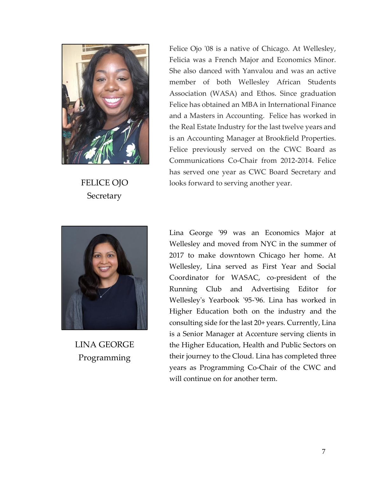

FELICE OJO **Secretary** 

Felice Ojo '08 is a native of Chicago. At Wellesley, Felicia was a French Major and Economics Minor. She also danced with Yanvalou and was an active member of both Wellesley African Students Association (WASA) and Ethos. Since graduation Felice has obtained an MBA in International Finance and a Masters in Accounting. Felice has worked in the Real Estate Industry for the last twelve years and is an Accounting Manager at Brookfield Properties. Felice previously served on the CWC Board as Communications Co-Chair from 2012-2014. Felice has served one year as CWC Board Secretary and looks forward to serving another year.



LINA GEORGE Programming

Lina George '99 was an Economics Major at Wellesley and moved from NYC in the summer of 2017 to make downtown Chicago her home. At Wellesley, Lina served as First Year and Social Coordinator for WASAC, co-president of the Running Club and Advertising Editor for Wellesley's Yearbook '95-'96. Lina has worked in Higher Education both on the industry and the consulting side for the last 20+ years. Currently, Lina is a Senior Manager at Accenture serving clients in the Higher Education, Health and Public Sectors on their journey to the Cloud. Lina has completed three years as Programming Co-Chair of the CWC and will continue on for another term.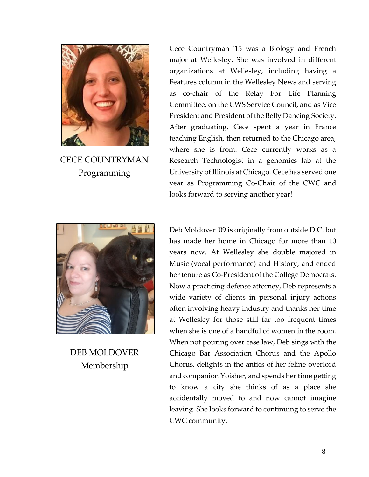

CECE COUNTRYMAN Programming

Cece Countryman '15 was a Biology and French major at Wellesley. She was involved in different organizations at Wellesley, including having a Features column in the Wellesley News and serving as co-chair of the Relay For Life Planning Committee, on the CWS Service Council, and as Vice President and President of the Belly Dancing Society. After graduating, Cece spent a year in France teaching English, then returned to the Chicago area, where she is from. Cece currently works as a Research Technologist in a genomics lab at the University of Illinois at Chicago. Cece has served one year as Programming Co-Chair of the CWC and looks forward to serving another year!



DEB MOLDOVER Membership

Deb Moldover '09 is originally from outside D.C. but has made her home in Chicago for more than 10 years now. At Wellesley she double majored in Music (vocal performance) and History, and ended her tenure as Co-President of the College Democrats. Now a practicing defense attorney, Deb represents a wide variety of clients in personal injury actions often involving heavy industry and thanks her time at Wellesley for those still far too frequent times when she is one of a handful of women in the room. When not pouring over case law, Deb sings with the Chicago Bar Association Chorus and the Apollo Chorus, delights in the antics of her feline overlord and companion Yoisher, and spends her time getting to know a city she thinks of as a place she accidentally moved to and now cannot imagine leaving. She looks forward to continuing to serve the CWC community.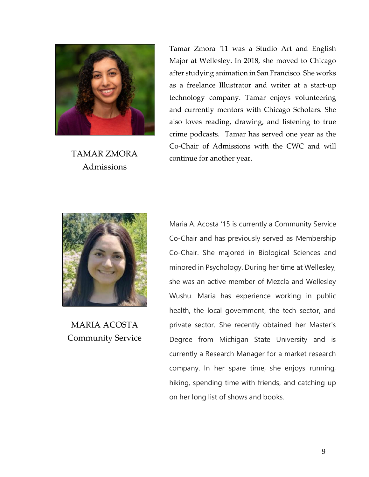

TAMAR ZMORA Admissions

Tamar Zmora '11 was a Studio Art and English Major at Wellesley. In 2018, she moved to Chicago after studying animation in San Francisco. She works as a freelance Illustrator and writer at a start-up technology company. Tamar enjoys volunteering and currently mentors with Chicago Scholars. She also loves reading, drawing, and listening to true crime podcasts. Tamar has served one year as the Co-Chair of Admissions with the CWC and will continue for another year.



MARIA ACOSTA Community Service

Maria A. Acosta '15 is currently a Community Service Co-Chair and has previously served as Membership Co-Chair. She majored in Biological Sciences and minored in Psychology. During her time at Wellesley, she was an active member of Mezcla and Wellesley Wushu. Maria has experience working in public health, the local government, the tech sector, and private sector. She recently obtained her Master's Degree from Michigan State University and is currently a Research Manager for a market research company. In her spare time, she enjoys running, hiking, spending time with friends, and catching up on her long list of shows and books.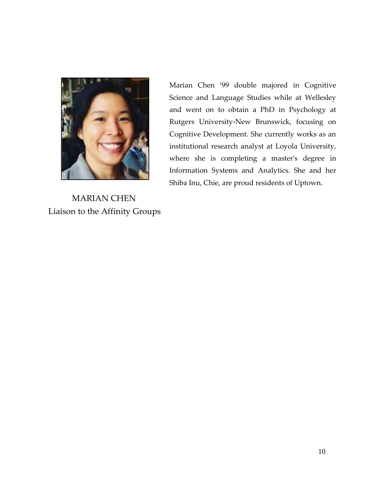

MARIAN CHEN Liaison to the Affinity Groups Marian Chen '99 double majored in Cognitive Science and Language Studies while at Wellesley and went on to obtain a PhD in Psychology at Rutgers University-New Brunswick, focusing on Cognitive Development. She currently works as an institutional research analyst at Loyola University, where she is completing a master's degree in Information Systems and Analytics. She and her Shiba Inu, Chie, are proud residents of Uptown.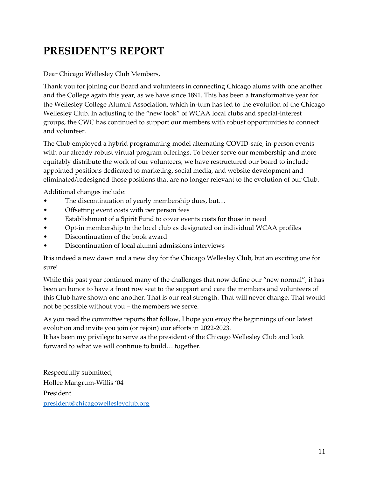# <span id="page-11-0"></span>**PRESIDENT'S REPORT**

Dear Chicago Wellesley Club Members,

Thank you for joining our Board and volunteers in connecting Chicago alums with one another and the College again this year, as we have since 1891. This has been a transformative year for the Wellesley College Alumni Association, which in-turn has led to the evolution of the Chicago Wellesley Club. In adjusting to the "new look" of WCAA local clubs and special-interest groups, the CWC has continued to support our members with robust opportunities to connect and volunteer.

The Club employed a hybrid programming model alternating COVID-safe, in-person events with our already robust virtual program offerings. To better serve our membership and more equitably distribute the work of our volunteers, we have restructured our board to include appointed positions dedicated to marketing, social media, and website development and eliminated/redesigned those positions that are no longer relevant to the evolution of our Club.

Additional changes include:

- The discontinuation of yearly membership dues, but...
- Offsetting event costs with per person fees
- Establishment of a Spirit Fund to cover events costs for those in need
- Opt-in membership to the local club as designated on individual WCAA profiles
- Discontinuation of the book award
- Discontinuation of local alumni admissions interviews

It is indeed a new dawn and a new day for the Chicago Wellesley Club, but an exciting one for sure!

While this past year continued many of the challenges that now define our "new normal", it has been an honor to have a front row seat to the support and care the members and volunteers of this Club have shown one another. That is our real strength. That will never change. That would not be possible without you – the members we serve.

As you read the committee reports that follow, I hope you enjoy the beginnings of our latest evolution and invite you join (or rejoin) our efforts in 2022-2023.

It has been my privilege to serve as the president of the Chicago Wellesley Club and look forward to what we will continue to build… together.

Respectfully submitted, Hollee Mangrum-Willis '04 President [president@chicagowellesleyclub.org](mailto:president@chicagowellesleyclub.org)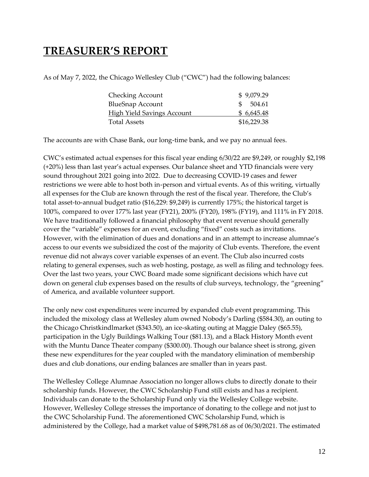## <span id="page-12-0"></span>**TREASURER'S REPORT**

As of May 7, 2022, the Chicago Wellesley Club ("CWC") had the following balances:

| <b>Checking Account</b>           | \$9,079.29  |
|-----------------------------------|-------------|
| <b>BlueSnap Account</b>           | \$504.61    |
| <b>High Yield Savings Account</b> | \$6,645.48  |
| <b>Total Assets</b>               | \$16,229.38 |

The accounts are with Chase Bank, our long-time bank, and we pay no annual fees.

CWC's estimated actual expenses for this fiscal year ending 6/30/22 are \$9,249, or roughly \$2,198 (+20%) less than last year's actual expenses. Our balance sheet and YTD financials were very sound throughout 2021 going into 2022. Due to decreasing COVID-19 cases and fewer restrictions we were able to host both in-person and virtual events. As of this writing, virtually all expenses for the Club are known through the rest of the fiscal year. Therefore, the Club's total asset-to-annual budget ratio (\$16,229: \$9,249) is currently 175%; the historical target is 100%, compared to over 177% last year (FY21), 200% (FY20), 198% (FY19), and 111% in FY 2018. We have traditionally followed a financial philosophy that event revenue should generally cover the "variable" expenses for an event, excluding "fixed" costs such as invitations. However, with the elimination of dues and donations and in an attempt to increase alumnae's access to our events we subsidized the cost of the majority of Club events. Therefore, the event revenue did not always cover variable expenses of an event. The Club also incurred costs relating to general expenses, such as web hosting, postage, as well as filing and technology fees. Over the last two years, your CWC Board made some significant decisions which have cut down on general club expenses based on the results of club surveys, technology, the "greening" of America, and available volunteer support.

The only new cost expenditures were incurred by expanded club event programming. This included the mixology class at Wellesley alum owned Nobody's Darling (\$584.30), an outing to the Chicago Christkindlmarket (\$343.50), an ice-skating outing at Maggie Daley (\$65.55), participation in the Ugly Buildings Walking Tour (\$81.13), and a Black History Month event with the Muntu Dance Theater company (\$300.00). Though our balance sheet is strong, given these new expenditures for the year coupled with the mandatory elimination of membership dues and club donations, our ending balances are smaller than in years past.

The Wellesley College Alumnae Association no longer allows clubs to directly donate to their scholarship funds. However, the CWC Scholarship Fund still exists and has a recipient. Individuals can donate to the Scholarship Fund only via the Wellesley College website. However, Wellesley College stresses the importance of donating to the college and not just to the CWC Scholarship Fund. The aforementioned CWC Scholarship Fund, which is administered by the College, had a market value of \$498,781.68 as of 06/30/2021. The estimated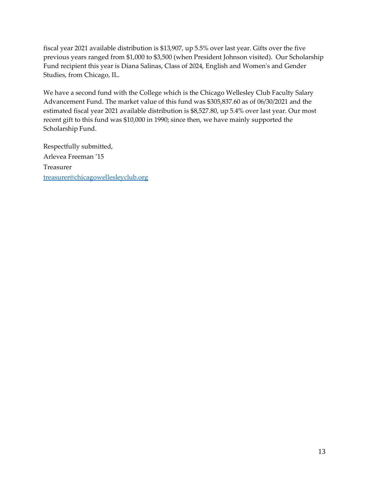fiscal year 2021 available distribution is \$13,907, up 5.5% over last year. Gifts over the five previous years ranged from \$1,000 to \$3,500 (when President Johnson visited). Our Scholarship Fund recipient this year is Diana Salinas, Class of 2024, English and Women's and Gender Studies, from Chicago, IL.

We have a second fund with the College which is the Chicago Wellesley Club Faculty Salary Advancement Fund. The market value of this fund was \$305,837.60 as of 06/30/2021 and the estimated fiscal year 2021 available distribution is \$8,527.80, up 5.4% over last year. Our most recent gift to this fund was \$10,000 in 1990; since then, we have mainly supported the Scholarship Fund.

Respectfully submitted, Arlevea Freeman '15 Treasurer [treasurer@chicagowellesleyclub.org](mailto:treasurer@chicagowellesleyclub.org)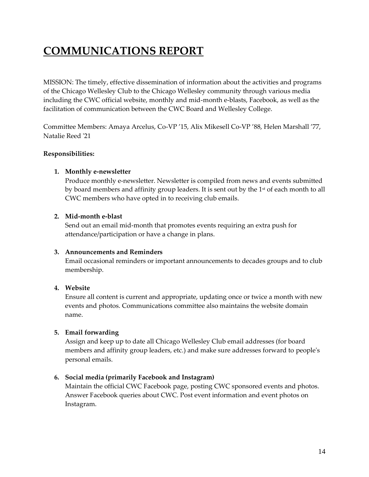# <span id="page-14-0"></span>**COMMUNICATIONS REPORT**

MISSION: The timely, effective dissemination of information about the activities and programs of the Chicago Wellesley Club to the Chicago Wellesley community through various media including the CWC official website, monthly and mid-month e-blasts, Facebook, as well as the facilitation of communication between the CWC Board and Wellesley College.

Committee Members: Amaya Arcelus, Co-VP '15, Alix Mikesell Co-VP '88, Helen Marshall '77, Natalie Reed '21

### **Responsibilities:**

### **1. Monthly e-newsletter**

Produce monthly e-newsletter. Newsletter is compiled from news and events submitted by board members and affinity group leaders. It is sent out by the  $1<sup>st</sup>$  of each month to all CWC members who have opted in to receiving club emails.

### **2. Mid-month e-blast**

Send out an email mid-month that promotes events requiring an extra push for attendance/participation or have a change in plans.

### **3. Announcements and Reminders**

Email occasional reminders or important announcements to decades groups and to club membership.

### **4. Website**

Ensure all content is current and appropriate, updating once or twice a month with new events and photos. Communications committee also maintains the website domain name.

### **5. Email forwarding**

Assign and keep up to date all Chicago Wellesley Club email addresses (for board members and affinity group leaders, etc.) and make sure addresses forward to people's personal emails.

### **6. Social media (primarily Facebook and Instagram)**

Maintain the official CWC Facebook page, posting CWC sponsored events and photos. Answer Facebook queries about CWC. Post event information and event photos on Instagram.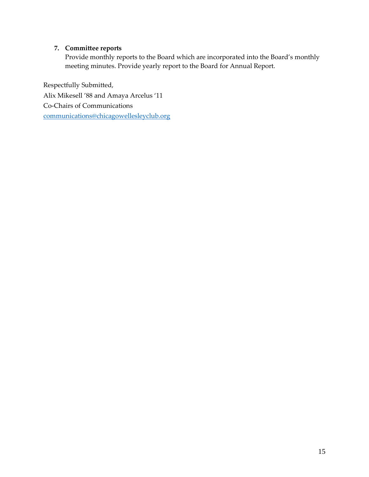### **7. Committee reports**

Provide monthly reports to the Board which are incorporated into the Board's monthly meeting minutes. Provide yearly report to the Board for Annual Report.

Respectfully Submitted, Alix Mikesell '88 and Amaya Arcelus '11 Co-Chairs of Communications [communications@chicagowellesleyclub.org](mailto:communications@chicagowellesleyclub.org)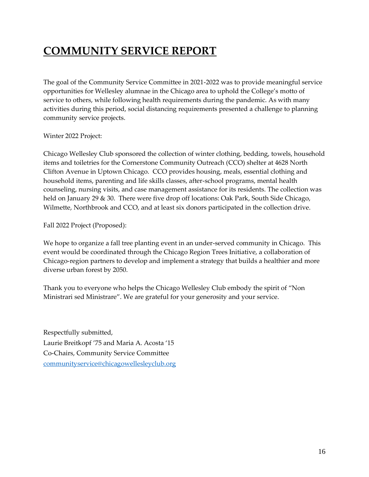# <span id="page-16-0"></span>**COMMUNITY SERVICE REPORT**

The goal of the Community Service Committee in 2021-2022 was to provide meaningful service opportunities for Wellesley alumnae in the Chicago area to uphold the College's motto of service to others, while following health requirements during the pandemic. As with many activities during this period, social distancing requirements presented a challenge to planning community service projects.

### Winter 2022 Project:

Chicago Wellesley Club sponsored the collection of winter clothing, bedding, towels, household items and toiletries for the Cornerstone Community Outreach (CCO) shelter at 4628 North Clifton Avenue in Uptown Chicago. CCO provides housing, meals, essential clothing and household items, parenting and life skills classes, after-school programs, mental health counseling, nursing visits, and case management assistance for its residents. The collection was held on January 29 & 30. There were five drop off locations: Oak Park, South Side Chicago, Wilmette, Northbrook and CCO, and at least six donors participated in the collection drive.

Fall 2022 Project (Proposed):

We hope to organize a fall tree planting event in an under-served community in Chicago. This event would be coordinated through the Chicago Region Trees Initiative, a collaboration of Chicago-region partners to develop and implement a strategy that builds a healthier and more diverse urban forest by 2050.

Thank you to everyone who helps the Chicago Wellesley Club embody the spirit of "Non Ministrari sed Ministrare". We are grateful for your generosity and your service.

Respectfully submitted, Laurie Breitkopf '75 and Maria A. Acosta '15 Co-Chairs, Community Service Committee [communityservice@chicagowellesleyclub.org](mailto:communityservice@chicagowellesleyclub.org)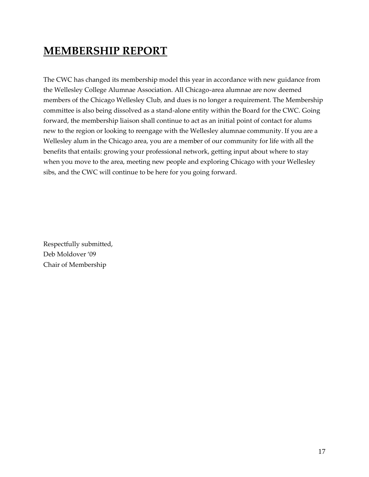## <span id="page-17-0"></span>**MEMBERSHIP REPORT**

The CWC has changed its membership model this year in accordance with new guidance from the Wellesley College Alumnae Association. All Chicago-area alumnae are now deemed members of the Chicago Wellesley Club, and dues is no longer a requirement. The Membership committee is also being dissolved as a stand-alone entity within the Board for the CWC. Going forward, the membership liaison shall continue to act as an initial point of contact for alums new to the region or looking to reengage with the Wellesley alumnae community. If you are a Wellesley alum in the Chicago area, you are a member of our community for life with all the benefits that entails: growing your professional network, getting input about where to stay when you move to the area, meeting new people and exploring Chicago with your Wellesley sibs, and the CWC will continue to be here for you going forward.

Respectfully submitted, Deb Moldover '09 Chair of Membership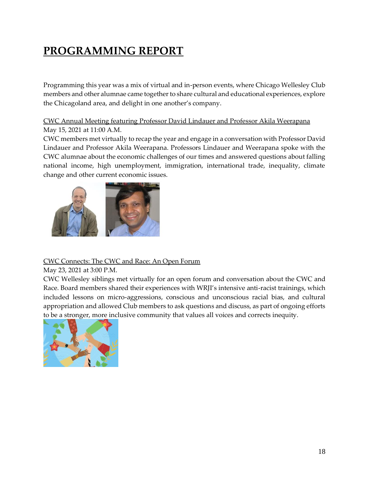# <span id="page-18-0"></span>**PROGRAMMING REPORT**

Programming this year was a mix of virtual and in-person events, where Chicago Wellesley Club members and other alumnae came together to share cultural and educational experiences, explore the Chicagoland area, and delight in one another's company.

CWC Annual Meeting featuring Professor David Lindauer and Professor Akila Weerapana May 15, 2021 at 11:00 A.M.

CWC members met virtually to recap the year and engage in a conversation with Professor David Lindauer and Professor Akila Weerapana. Professors Lindauer and Weerapana spoke with the CWC alumnae about the economic challenges of our times and answered questions about falling national income, high unemployment, immigration, international trade, inequality, climate change and other current economic issues.



### CWC Connects: The CWC and Race: An Open Forum

May 23, 2021 at 3:00 P.M.

CWC Wellesley siblings met virtually for an open forum and conversation about the CWC and Race. Board members shared their experiences with WRJI's intensive anti-racist trainings, which included lessons on micro-aggressions, conscious and unconscious racial bias, and cultural appropriation and allowed Club members to ask questions and discuss, as part of ongoing efforts to be a stronger, more inclusive community that values all voices and corrects inequity.

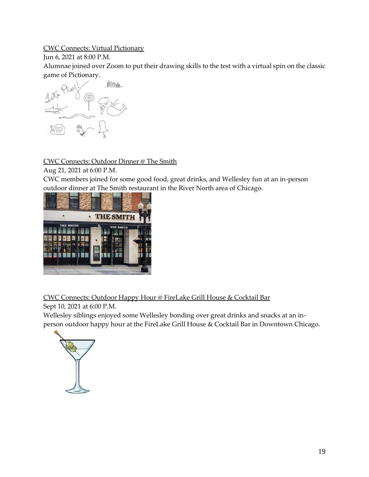### CWC Connects: Virtual Pictionary

### Jun 6, 2021 at 8:00 P.M.

Alumnae joined over Zoom to put their drawing skills to the test with a virtual spin on the classic game of Pictionary.



CWC Connects: Outdoor Dinner @ The Smith

Aug 21, 2021 at 6:00 P.M.

CWC members joined for some good food, great drinks, and Wellesley fun at an in-person outdoor dinner at The Smith restaurant in the River North area of Chicago.



CWC Connects: Outdoor Happy Hour @ FireLake Grill House & Cocktail Bar

Sept 10, 2021 at 6:00 P.M.

Wellesley siblings enjoyed some Wellesley bonding over great drinks and snacks at an inperson outdoor happy hour at the FireLake Grill House & Cocktail Bar in Downtown Chicago.

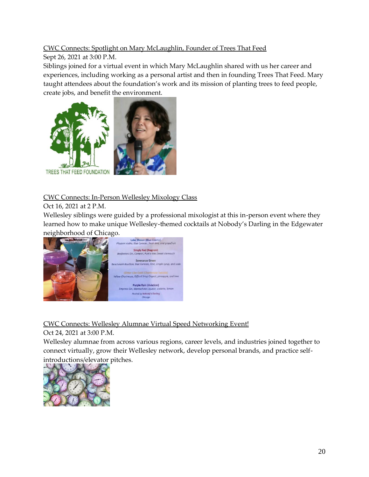### CWC Connects: Spotlight on Mary McLaughlin, Founder of Trees That Feed

### Sept 26, 2021 at 3:00 P.M.

Siblings joined for a virtual event in which Mary McLaughlin shared with us her career and experiences, including working as a personal artist and then in founding Trees That Feed. Mary taught attendees about the foundation's work and its mission of planting trees to feed people, create jobs, and benefit the environment.



### CWC Connects: In-Person Wellesley Mixology Class

### Oct 16, 2021 at 2 P.M.

Wellesley siblings were guided by a professional mixologist at this in-person event where they learned how to make unique Wellesley-themed cocktails at Nobody's Darling in the Edgewater neighborhood of Chicago.



CWC Connects: Wellesley Alumnae Virtual Speed Networking Event!

Oct 24, 2021 at 3:00 P.M.

Wellesley alumnae from across various regions, career levels, and industries joined together to connect virtually, grow their Wellesley network, develop personal brands, and practice selfintroductions/elevator pitches.

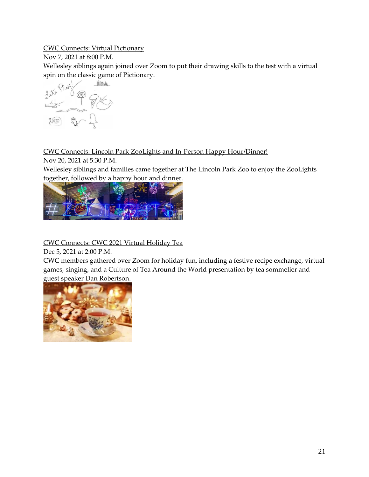### CWC Connects: Virtual Pictionary

Nov 7, 2021 at 8:00 P.M.

Wellesley siblings again joined over Zoom to put their drawing skills to the test with a virtual spin on the classic game of Pictionary.



### CWC Connects: Lincoln Park ZooLights and In-Person Happy Hour/Dinner!

Nov 20, 2021 at 5:30 P.M.

Wellesley siblings and families came together at The Lincoln Park Zoo to enjoy the ZooLights together, followed by a happy hour and dinner.



CWC Connects: CWC 2021 Virtual Holiday Tea

Dec 5, 2021 at 2:00 P.M.

CWC members gathered over Zoom for holiday fun, including a festive recipe exchange, virtual games, singing, and a Culture of Tea Around the World presentation by tea sommelier and guest speaker Dan Robertson.

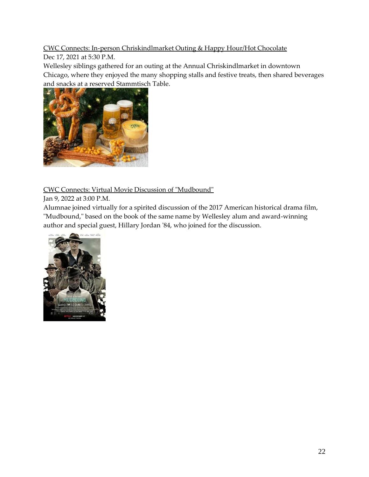### CWC Connects: In-person Chriskindlmarket Outing & Happy Hour/Hot Chocolate

Dec 17, 2021 at 5:30 P.M.

Wellesley siblings gathered for an outing at the Annual Chriskindlmarket in downtown Chicago, where they enjoyed the many shopping stalls and festive treats, then shared beverages and snacks at a reserved Stammtisch Table.



CWC Connects: Virtual Movie Discussion of "Mudbound"

Jan 9, 2022 at 3:00 P.M.

Alumnae joined virtually for a spirited discussion of the 2017 American historical drama film, "Mudbound," based on the book of the same name by Wellesley alum and award-winning author and special guest, Hillary Jordan '84, who joined for the discussion.

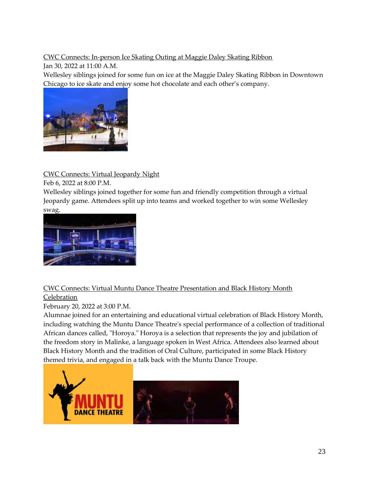### CWC Connects: In-person Ice Skating Outing at Maggie Daley Skating Ribbon

Jan 30, 2022 at 11:00 A.M.

Wellesley siblings joined for some fun on ice at the Maggie Daley Skating Ribbon in Downtown Chicago to ice skate and enjoy some hot chocolate and each other's company.



CWC Connects: Virtual Jeopardy Night

Feb 6, 2022 at 8:00 P.M.

Wellesley siblings joined together for some fun and friendly competition through a virtual Jeopardy game. Attendees split up into teams and worked together to win some Wellesley swag.



### CWC Connects: Virtual Muntu Dance Theatre Presentation and Black History Month **Celebration**

February 20, 2022 at 3:00 P.M.

Alumnae joined for an entertaining and educational virtual celebration of Black History Month, including watching the Muntu Dance Theatre's special performance of a collection of traditional African dances called, "Horoya." Horoya is a selection that represents the joy and jubilation of the freedom story in Malinke, a language spoken in West Africa. Attendees also learned about Black History Month and the tradition of Oral Culture, participated in some Black History themed trivia, and engaged in a talk back with the Muntu Dance Troupe.

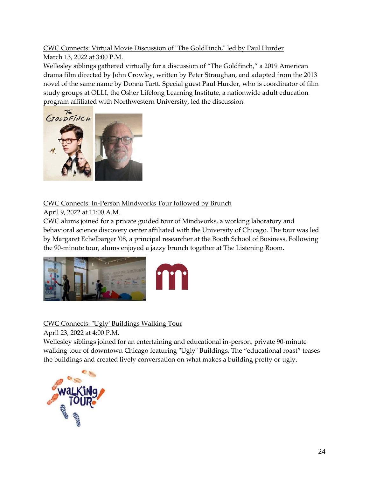### CWC Connects: Virtual Movie Discussion of "The GoldFinch," led by Paul Hurder

March 13, 2022 at 3:00 P.M.

Wellesley siblings gathered virtually for a discussion of "The Goldfinch," a 2019 American drama film directed by John Crowley, written by Peter Straughan, and adapted from the 2013 novel of the same name by Donna Tartt. Special guest Paul Hurder, who is coordinator of film study groups at OLLI, the Osher Lifelong Learning Institute, a nationwide adult education program affiliated with Northwestern University, led the discussion.



### CWC Connects: In-Person Mindworks Tour followed by Brunch

April 9, 2022 at 11:00 A.M.

CWC alums joined for a private guided tour of Mindworks, a working laboratory and behavioral science discovery center affiliated with the University of Chicago. The tour was led by Margaret Echelbarger '08, a principal researcher at the Booth School of Business. Following the 90-minute tour, alums enjoyed a jazzy brunch together at The Listening Room.



CWC Connects: "Ugly' Buildings Walking Tour

April 23, 2022 at 4:00 P.M.

Wellesley siblings joined for an entertaining and educational in-person, private 90-minute walking tour of downtown Chicago featuring "Ugly" Buildings. The "educational roast" teases the buildings and created lively conversation on what makes a building pretty or ugly.

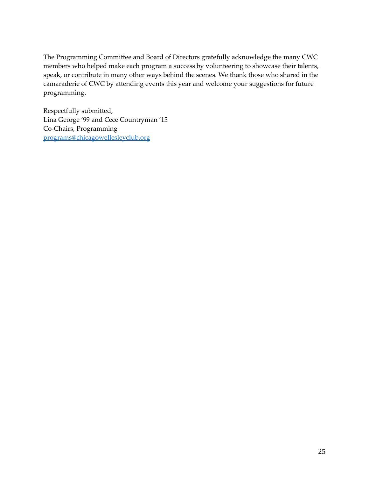The Programming Committee and Board of Directors gratefully acknowledge the many CWC members who helped make each program a success by volunteering to showcase their talents, speak, or contribute in many other ways behind the scenes. We thank those who shared in the camaraderie of CWC by attending events this year and welcome your suggestions for future programming.

Respectfully submitted, Lina George '99 and Cece Countryman '15 Co-Chairs, Programming [programs@chicagowellesleyclub.org](mailto:programs@chicagowellesleyclub.org)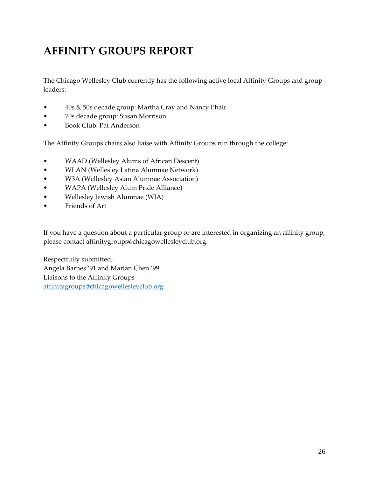# <span id="page-26-0"></span>**AFFINITY GROUPS REPORT**

The Chicago Wellesley Club currently has the following active local Affinity Groups and group leaders:

- 40s & 50s decade group: Martha Cray and Nancy Phair
- 70s decade group: Susan Morrison
- Book Club: Pat Anderson

The Affinity Groups chairs also liaise with Affinity Groups run through the college:

- WAAD (Wellesley Alums of African Descent)
- WLAN (Wellesley Latina Alumnae Network)
- W3A (Wellesley Asian Alumnae Association)
- WAPA (Wellesley Alum Pride Alliance)
- Wellesley Jewish Alumnae (WJA)
- Friends of Art

If you have a question about a particular group or are interested in organizing an affinity group, please contact affinitygroups@chicagowellesleyclub.org.

Respectfully submitted, Angela Barnes '91 and Marian Chen '99 Liaisons to the Affinity Groups [affinitygroups@chicagowellesleyclub.org](mailto:affinitygroups@chicagowellesleyclub.org)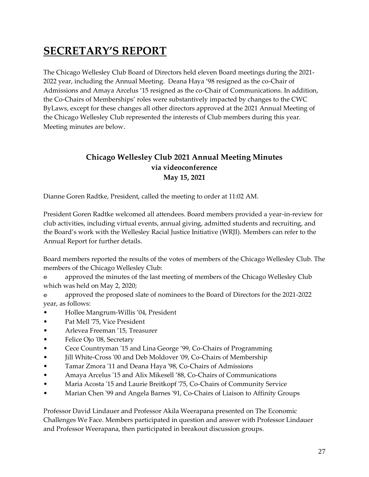# <span id="page-27-0"></span>**SECRETARY'S REPORT**

The Chicago Wellesley Club Board of Directors held eleven Board meetings during the 2021- 2022 year, including the Annual Meeting. Deana Haya '98 resigned as the co-Chair of Admissions and Amaya Arcelus '15 resigned as the co-Chair of Communications. In addition, the Co-Chairs of Memberships' roles were substantively impacted by changes to the CWC ByLaws, except for these changes all other directors approved at the 2021 Annual Meeting of the Chicago Wellesley Club represented the interests of Club members during this year. Meeting minutes are below.

### **Chicago Wellesley Club 2021 Annual Meeting Minutes via videoconference May 15, 2021**

<span id="page-27-1"></span>Dianne Goren Radtke, President, called the meeting to order at 11:02 AM.

President Goren Radtke welcomed all attendees. Board members provided a year-in-review for club activities, including virtual events, annual giving, admitted students and recruiting, and the Board's work with the Wellesley Racial Justice Initiative (WRJI). Members can refer to the Annual Report for further details.

Board members reported the results of the votes of members of the Chicago Wellesley Club. The members of the Chicago Wellesley Club:

Ò approved the minutes of the last meeting of members of the Chicago Wellesley Club which was held on May 2, 2020;

approved the proposed slate of nominees to the Board of Directors for the 2021-2022 Õ year, as follows:

- Hollee Mangrum-Willis '04, President
- Pat Mell '75, Vice President
- Arlevea Freeman '15, Treasurer
- Felice Ojo '08, Secretary
- Cece Countryman '15 and Lina George '99, Co-Chairs of Programming
- Jill White-Cross '00 and Deb Moldover '09, Co-Chairs of Membership
- Tamar Zmora '11 and Deana Haya '98, Co-Chairs of Admissions
- Amaya Arcelus '15 and Alix Mikesell '88, Co-Chairs of Communications
- Maria Acosta '15 and Laurie Breitkopf '75, Co-Chairs of Community Service
- Marian Chen '99 and Angela Barnes '91, Co-Chairs of Liaison to Affinity Groups

Professor David Lindauer and Professor Akila Weerapana presented on The Economic Challenges We Face. Members participated in question and answer with Professor Lindauer and Professor Weerapana, then participated in breakout discussion groups.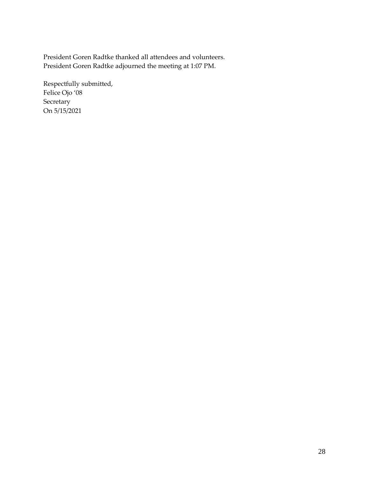President Goren Radtke thanked all attendees and volunteers. President Goren Radtke adjourned the meeting at 1:07 PM.

Respectfully submitted, Felice Ojo '08 Secretary On 5/15/2021